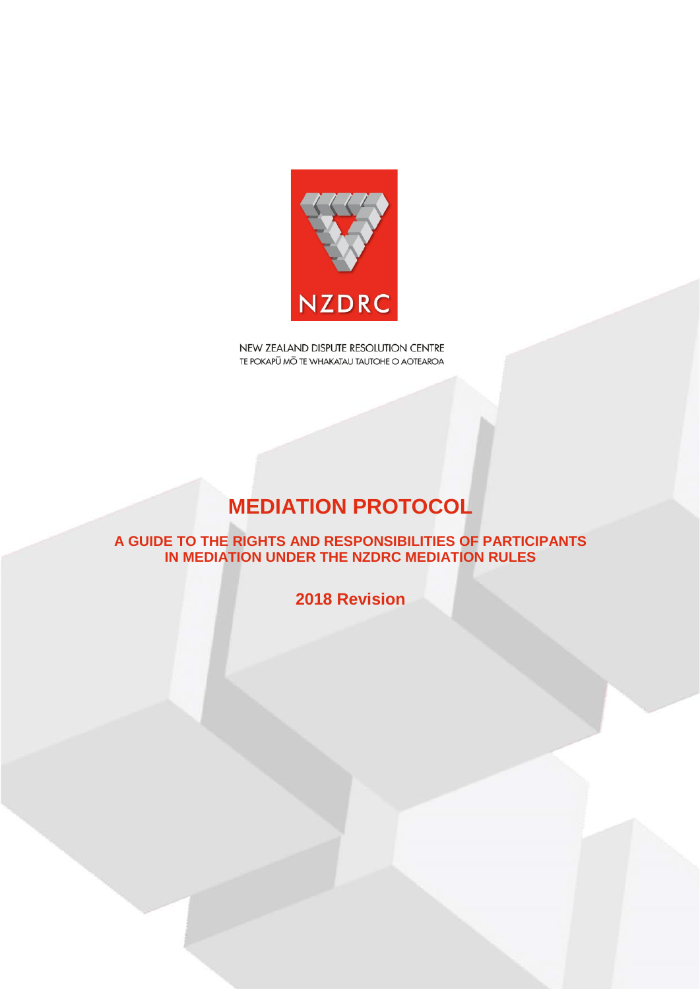

# **MEDIATION PROTOCOL**

**A GUIDE TO THE RIGHTS AND RESPONSIBILITIES OF PARTICIPANTS IN MEDIATION UNDER THE NZDRC MEDIATION RULES**

**2018 Revision**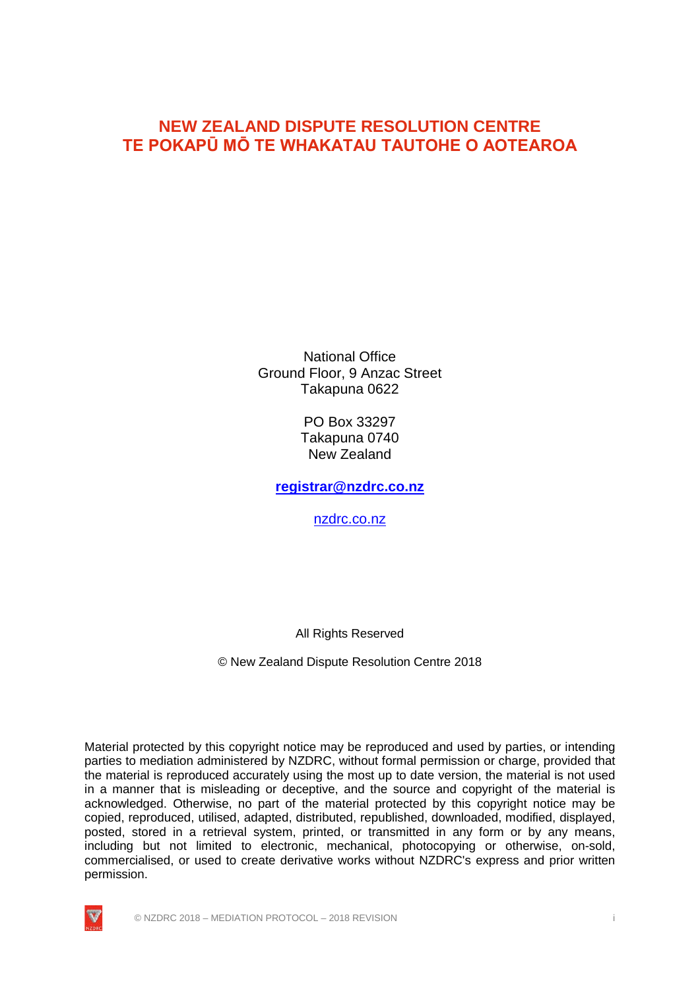National Office Ground Floor, 9 Anzac Street Takapuna 0622

> PO Box 33297 Takapuna 0740 New Zealand

**[registrar@nzdrc.co.nz](mailto:registrar@nzdrc.co.nz)**

[nzdrc.co.nz](http://www.nzdrc.co.nz/)

All Rights Reserved

© New Zealand Dispute Resolution Centre 2018

Material protected by this copyright notice may be reproduced and used by parties, or intending parties to mediation administered by NZDRC, without formal permission or charge, provided that the material is reproduced accurately using the most up to date version, the material is not used in a manner that is misleading or deceptive, and the source and copyright of the material is acknowledged. Otherwise, no part of the material protected by this copyright notice may be copied, reproduced, utilised, adapted, distributed, republished, downloaded, modified, displayed, posted, stored in a retrieval system, printed, or transmitted in any form or by any means, including but not limited to electronic, mechanical, photocopying or otherwise, on-sold, commercialised, or used to create derivative works without NZDRC's express and prior written permission.

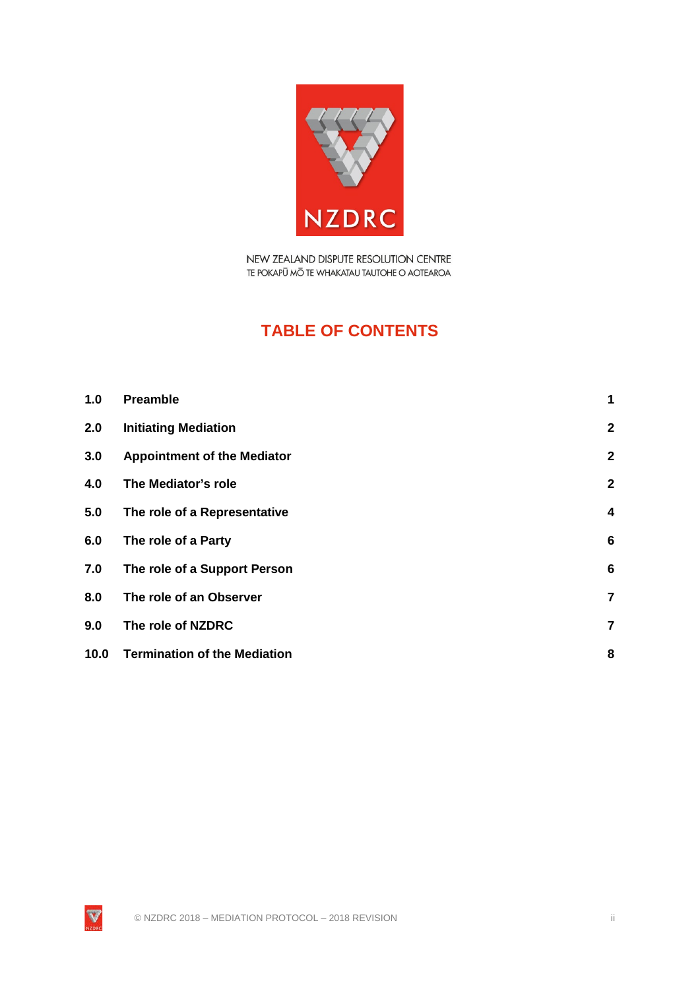

# **TABLE OF CONTENTS**

| 1.0  | <b>Preamble</b>                     | 1               |
|------|-------------------------------------|-----------------|
| 2.0  | <b>Initiating Mediation</b>         | $\mathbf{2}$    |
| 3.0  | <b>Appointment of the Mediator</b>  | $\mathbf{2}$    |
| 4.0  | The Mediator's role                 | $\mathbf{2}$    |
| 5.0  | The role of a Representative        | $\overline{4}$  |
| 6.0  | The role of a Party                 | $6\phantom{1}6$ |
| 7.0  | The role of a Support Person        | $6\phantom{1}6$ |
| 8.0  | The role of an Observer             | $\overline{7}$  |
| 9.0  | The role of NZDRC                   | $\overline{7}$  |
| 10.0 | <b>Termination of the Mediation</b> | 8               |

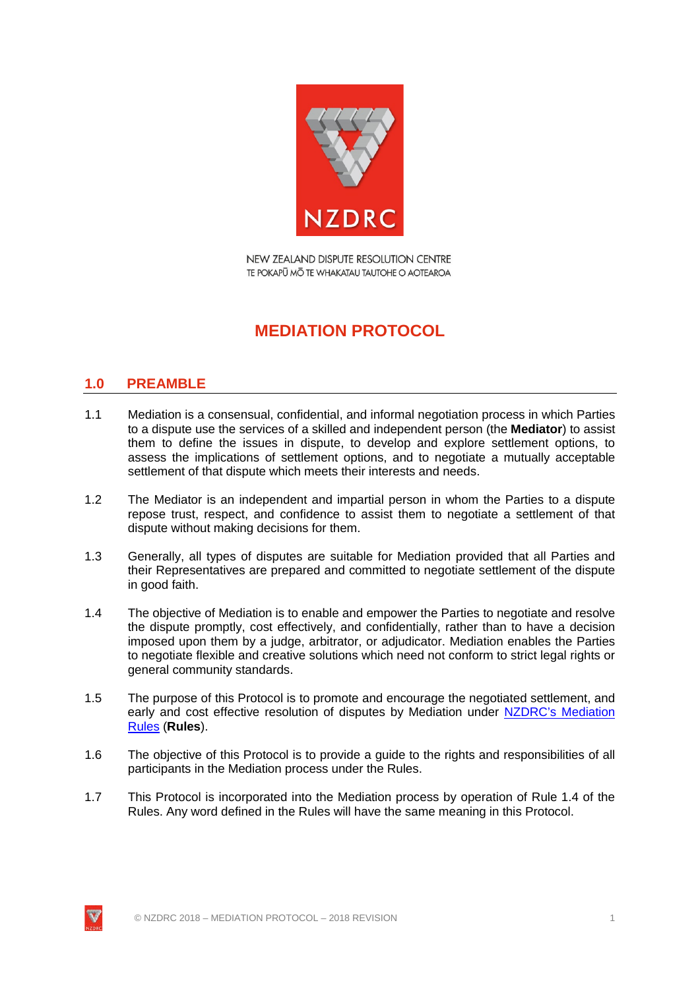

# **MEDIATION PROTOCOL**

# <span id="page-3-0"></span>**1.0 PREAMBLE**

- 1.1 Mediation is a consensual, confidential, and informal negotiation process in which Parties to a dispute use the services of a skilled and independent person (the **Mediator**) to assist them to define the issues in dispute, to develop and explore settlement options, to assess the implications of settlement options, and to negotiate a mutually acceptable settlement of that dispute which meets their interests and needs.
- 1.2 The Mediator is an independent and impartial person in whom the Parties to a dispute repose trust, respect, and confidence to assist them to negotiate a settlement of that dispute without making decisions for them.
- 1.3 Generally, all types of disputes are suitable for Mediation provided that all Parties and their Representatives are prepared and committed to negotiate settlement of the dispute in good faith.
- 1.4 The objective of Mediation is to enable and empower the Parties to negotiate and resolve the dispute promptly, cost effectively, and confidentially, rather than to have a decision imposed upon them by a judge, arbitrator, or adjudicator. Mediation enables the Parties to negotiate flexible and creative solutions which need not conform to strict legal rights or general community standards.
- 1.5 The purpose of this Protocol is to promote and encourage the negotiated settlement, and early and cost effective resolution of disputes by [Mediation](http://nzdrc.co.nz/Mediation/Mediation+Rules.html) under NZDRC's Mediation [Rules](http://nzdrc.co.nz/Mediation/Mediation+Rules.html) (**Rules**).
- 1.6 The objective of this Protocol is to provide a guide to the rights and responsibilities of all participants in the Mediation process under the Rules.
- 1.7 This Protocol is incorporated into the Mediation process by operation of Rule 1.4 of the Rules. Any word defined in the Rules will have the same meaning in this Protocol.

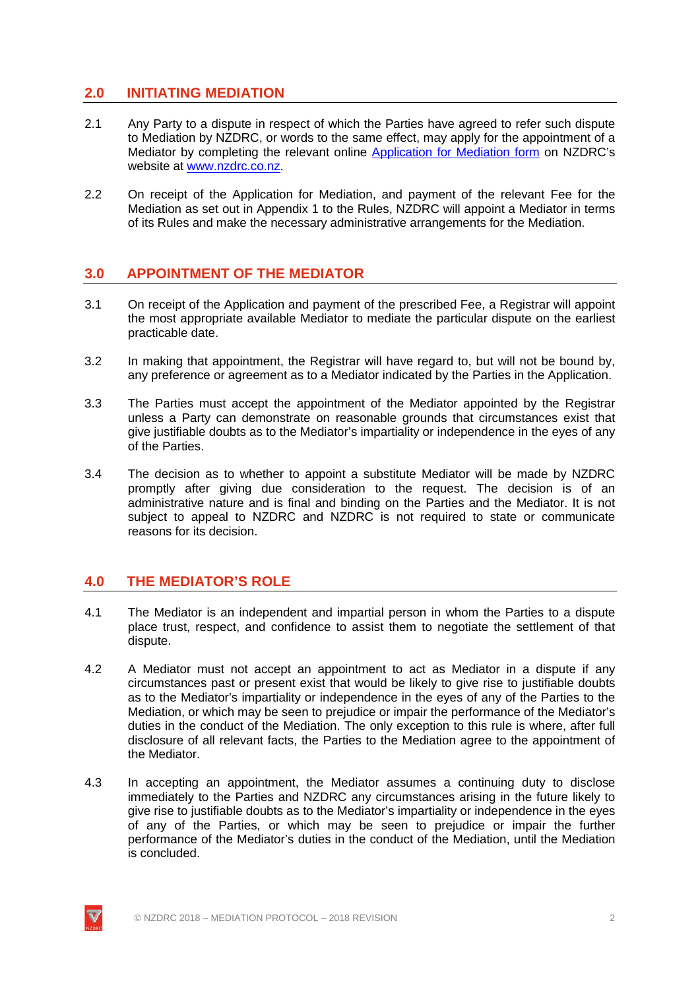### <span id="page-4-0"></span>**2.0 INITIATING MEDIATION**

- 2.1 Any Party to a dispute in respect of which the Parties have agreed to refer such dispute to Mediation by NZDRC, or words to the same effect, may apply for the appointment of a Mediator by completing the relevant online [Application for Mediation form](http://nzdrc.co.nz/Mediation/Apply+for+Mediation.html) on NZDRC's website at [www.nzdrc.co.nz.](http://www.nzdrc.co.nz/)
- 2.2 On receipt of the Application for Mediation, and payment of the relevant Fee for the Mediation as set out in Appendix 1 to the Rules, NZDRC will appoint a Mediator in terms of its Rules and make the necessary administrative arrangements for the Mediation.

#### <span id="page-4-1"></span>**3.0 APPOINTMENT OF THE MEDIATOR**

- 3.1 On receipt of the Application and payment of the prescribed Fee, a Registrar will appoint the most appropriate available Mediator to mediate the particular dispute on the earliest practicable date.
- 3.2 In making that appointment, the Registrar will have regard to, but will not be bound by, any preference or agreement as to a Mediator indicated by the Parties in the Application.
- 3.3 The Parties must accept the appointment of the Mediator appointed by the Registrar unless a Party can demonstrate on reasonable grounds that circumstances exist that give justifiable doubts as to the Mediator's impartiality or independence in the eyes of any of the Parties.
- 3.4 The decision as to whether to appoint a substitute Mediator will be made by NZDRC promptly after giving due consideration to the request. The decision is of an administrative nature and is final and binding on the Parties and the Mediator. It is not subject to appeal to NZDRC and NZDRC is not required to state or communicate reasons for its decision.

#### <span id="page-4-2"></span>**4.0 THE MEDIATOR'S ROLE**

- 4.1 The Mediator is an independent and impartial person in whom the Parties to a dispute place trust, respect, and confidence to assist them to negotiate the settlement of that dispute.
- 4.2 A Mediator must not accept an appointment to act as Mediator in a dispute if any circumstances past or present exist that would be likely to give rise to justifiable doubts as to the Mediator's impartiality or independence in the eyes of any of the Parties to the Mediation, or which may be seen to prejudice or impair the performance of the Mediator's duties in the conduct of the Mediation. The only exception to this rule is where, after full disclosure of all relevant facts, the Parties to the Mediation agree to the appointment of the Mediator.
- 4.3 In accepting an appointment, the Mediator assumes a continuing duty to disclose immediately to the Parties and NZDRC any circumstances arising in the future likely to give rise to justifiable doubts as to the Mediator's impartiality or independence in the eyes of any of the Parties, or which may be seen to prejudice or impair the further performance of the Mediator's duties in the conduct of the Mediation, until the Mediation is concluded.

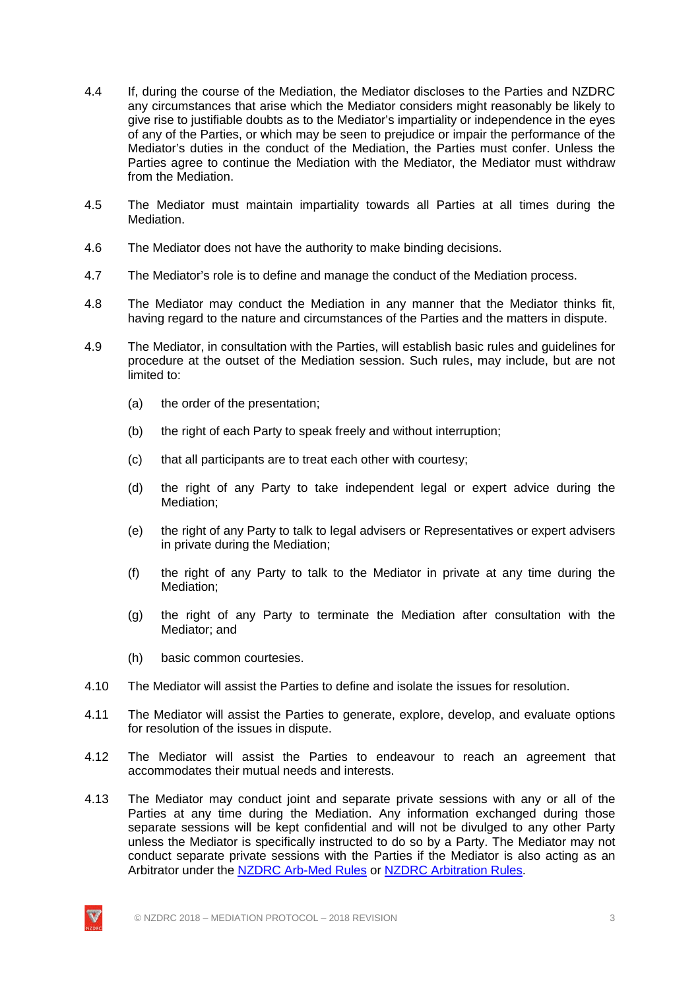- 4.4 If, during the course of the Mediation, the Mediator discloses to the Parties and NZDRC any circumstances that arise which the Mediator considers might reasonably be likely to give rise to justifiable doubts as to the Mediator's impartiality or independence in the eyes of any of the Parties, or which may be seen to prejudice or impair the performance of the Mediator's duties in the conduct of the Mediation, the Parties must confer. Unless the Parties agree to continue the Mediation with the Mediator, the Mediator must withdraw from the Mediation.
- 4.5 The Mediator must maintain impartiality towards all Parties at all times during the Mediation.
- 4.6 The Mediator does not have the authority to make binding decisions.
- 4.7 The Mediator's role is to define and manage the conduct of the Mediation process.
- 4.8 The Mediator may conduct the Mediation in any manner that the Mediator thinks fit, having regard to the nature and circumstances of the Parties and the matters in dispute.
- 4.9 The Mediator, in consultation with the Parties, will establish basic rules and guidelines for procedure at the outset of the Mediation session. Such rules, may include, but are not limited to:
	- (a) the order of the presentation;
	- (b) the right of each Party to speak freely and without interruption;
	- (c) that all participants are to treat each other with courtesy;
	- (d) the right of any Party to take independent legal or expert advice during the Mediation;
	- (e) the right of any Party to talk to legal advisers or Representatives or expert advisers in private during the Mediation;
	- (f) the right of any Party to talk to the Mediator in private at any time during the Mediation;
	- (g) the right of any Party to terminate the Mediation after consultation with the Mediator; and
	- (h) basic common courtesies.
- 4.10 The Mediator will assist the Parties to define and isolate the issues for resolution.
- 4.11 The Mediator will assist the Parties to generate, explore, develop, and evaluate options for resolution of the issues in dispute.
- 4.12 The Mediator will assist the Parties to endeavour to reach an agreement that accommodates their mutual needs and interests.
- 4.13 The Mediator may conduct joint and separate private sessions with any or all of the Parties at any time during the Mediation. Any information exchanged during those separate sessions will be kept confidential and will not be divulged to any other Party unless the Mediator is specifically instructed to do so by a Party. The Mediator may not conduct separate private sessions with the Parties if the Mediator is also acting as an Arbitrator under the NZDRC [Arb-Med Rules](http://nzdrc.co.nz/Arb-Med/Arb-Med+Rules.html) or NZDRC [Arbitration Rules.](http://nzdrc.co.nz/Arbitration/Arbitration+Rules.html)

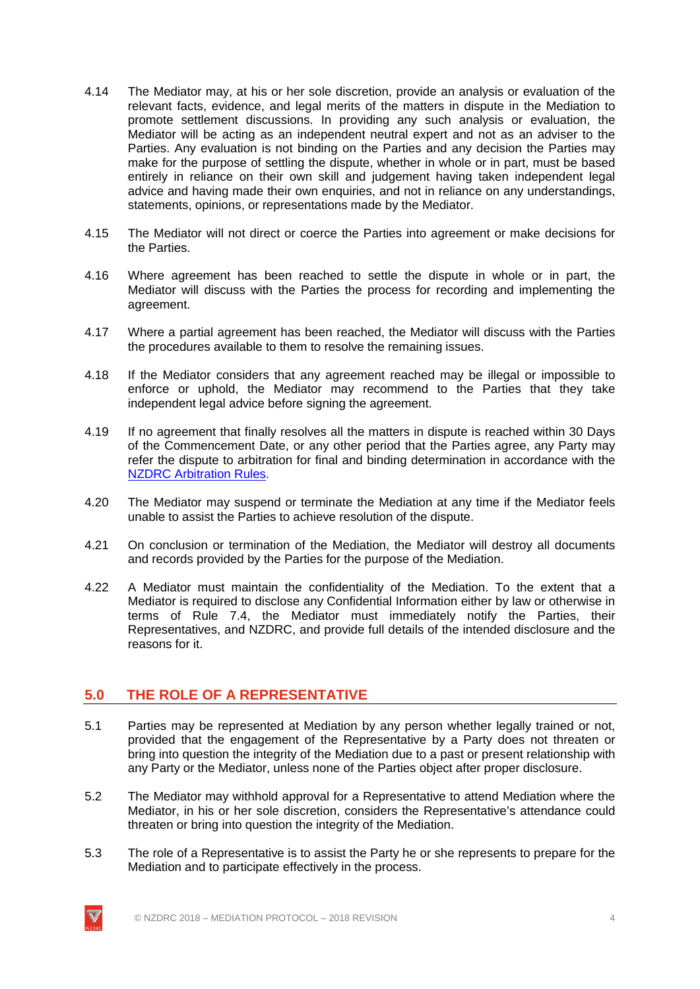- 4.14 The Mediator may, at his or her sole discretion, provide an analysis or evaluation of the relevant facts, evidence, and legal merits of the matters in dispute in the Mediation to promote settlement discussions. In providing any such analysis or evaluation, the Mediator will be acting as an independent neutral expert and not as an adviser to the Parties. Any evaluation is not binding on the Parties and any decision the Parties may make for the purpose of settling the dispute, whether in whole or in part, must be based entirely in reliance on their own skill and judgement having taken independent legal advice and having made their own enquiries, and not in reliance on any understandings, statements, opinions, or representations made by the Mediator.
- 4.15 The Mediator will not direct or coerce the Parties into agreement or make decisions for the Parties.
- 4.16 Where agreement has been reached to settle the dispute in whole or in part, the Mediator will discuss with the Parties the process for recording and implementing the agreement.
- 4.17 Where a partial agreement has been reached, the Mediator will discuss with the Parties the procedures available to them to resolve the remaining issues.
- 4.18 If the Mediator considers that any agreement reached may be illegal or impossible to enforce or uphold, the Mediator may recommend to the Parties that they take independent legal advice before signing the agreement.
- 4.19 If no agreement that finally resolves all the matters in dispute is reached within 30 Days of the Commencement Date, or any other period that the Parties agree, any Party may refer the dispute to arbitration for final and binding determination in accordance with the NZDRC [Arbitration Rules.](http://nzdrc.co.nz/Arbitration/Arbitration+Rules.html)
- 4.20 The Mediator may suspend or terminate the Mediation at any time if the Mediator feels unable to assist the Parties to achieve resolution of the dispute.
- 4.21 On conclusion or termination of the Mediation, the Mediator will destroy all documents and records provided by the Parties for the purpose of the Mediation.
- 4.22 A Mediator must maintain the confidentiality of the Mediation. To the extent that a Mediator is required to disclose any Confidential Information either by law or otherwise in terms of Rule 7.4, the Mediator must immediately notify the Parties, their Representatives, and NZDRC, and provide full details of the intended disclosure and the reasons for it.

# <span id="page-6-0"></span>**5.0 THE ROLE OF A REPRESENTATIVE**

- 5.1 Parties may be represented at Mediation by any person whether legally trained or not, provided that the engagement of the Representative by a Party does not threaten or bring into question the integrity of the Mediation due to a past or present relationship with any Party or the Mediator, unless none of the Parties object after proper disclosure.
- 5.2 The Mediator may withhold approval for a Representative to attend Mediation where the Mediator, in his or her sole discretion, considers the Representative's attendance could threaten or bring into question the integrity of the Mediation.
- 5.3 The role of a Representative is to assist the Party he or she represents to prepare for the Mediation and to participate effectively in the process.

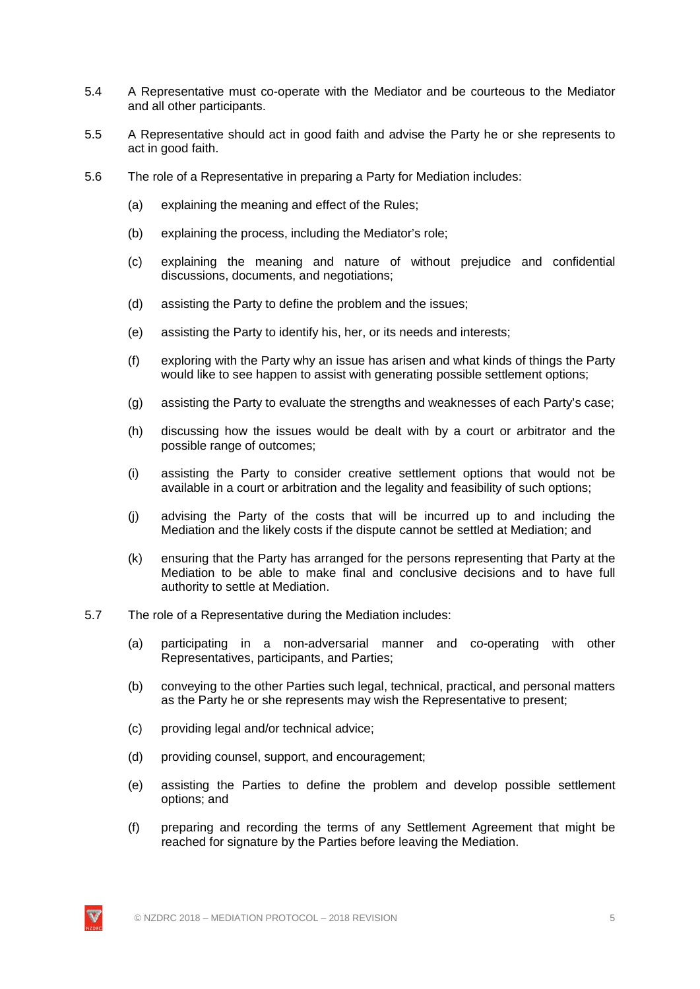- 5.4 A Representative must co-operate with the Mediator and be courteous to the Mediator and all other participants.
- 5.5 A Representative should act in good faith and advise the Party he or she represents to act in good faith.
- 5.6 The role of a Representative in preparing a Party for Mediation includes:
	- (a) explaining the meaning and effect of the Rules;
	- (b) explaining the process, including the Mediator's role;
	- (c) explaining the meaning and nature of without prejudice and confidential discussions, documents, and negotiations;
	- (d) assisting the Party to define the problem and the issues;
	- (e) assisting the Party to identify his, her, or its needs and interests;
	- (f) exploring with the Party why an issue has arisen and what kinds of things the Party would like to see happen to assist with generating possible settlement options;
	- (g) assisting the Party to evaluate the strengths and weaknesses of each Party's case;
	- (h) discussing how the issues would be dealt with by a court or arbitrator and the possible range of outcomes;
	- (i) assisting the Party to consider creative settlement options that would not be available in a court or arbitration and the legality and feasibility of such options;
	- (j) advising the Party of the costs that will be incurred up to and including the Mediation and the likely costs if the dispute cannot be settled at Mediation; and
	- (k) ensuring that the Party has arranged for the persons representing that Party at the Mediation to be able to make final and conclusive decisions and to have full authority to settle at Mediation.
- 5.7 The role of a Representative during the Mediation includes:
	- (a) participating in a non-adversarial manner and co-operating with other Representatives, participants, and Parties;
	- (b) conveying to the other Parties such legal, technical, practical, and personal matters as the Party he or she represents may wish the Representative to present;
	- (c) providing legal and/or technical advice;
	- (d) providing counsel, support, and encouragement;
	- (e) assisting the Parties to define the problem and develop possible settlement options; and
	- (f) preparing and recording the terms of any Settlement Agreement that might be reached for signature by the Parties before leaving the Mediation.

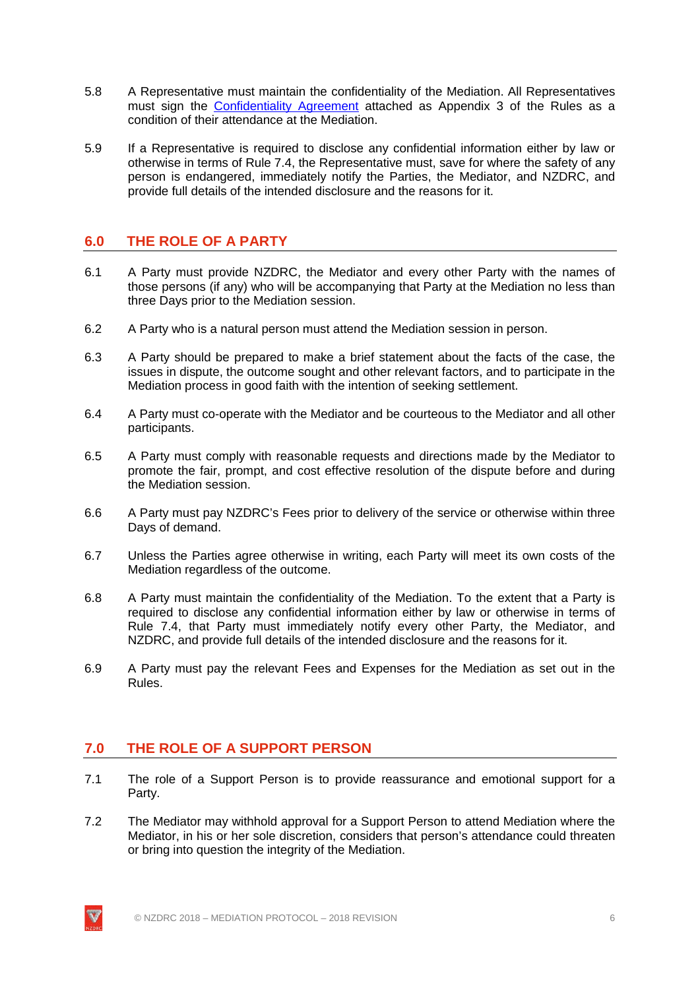- 5.8 A Representative must maintain the confidentiality of the Mediation. All Representatives must sign the [Confidentiality Agreement](http://nzdrc.co.nz/Mediation/Mediation+Guides+and+Resources.html) attached as Appendix 3 of the Rules as a condition of their attendance at the Mediation.
- 5.9 If a Representative is required to disclose any confidential information either by law or otherwise in terms of Rule 7.4, the Representative must, save for where the safety of any person is endangered, immediately notify the Parties, the Mediator, and NZDRC, and provide full details of the intended disclosure and the reasons for it.

# <span id="page-8-0"></span>**6.0 THE ROLE OF A PARTY**

- 6.1 A Party must provide NZDRC, the Mediator and every other Party with the names of those persons (if any) who will be accompanying that Party at the Mediation no less than three Days prior to the Mediation session.
- 6.2 A Party who is a natural person must attend the Mediation session in person.
- 6.3 A Party should be prepared to make a brief statement about the facts of the case, the issues in dispute, the outcome sought and other relevant factors, and to participate in the Mediation process in good faith with the intention of seeking settlement.
- 6.4 A Party must co-operate with the Mediator and be courteous to the Mediator and all other participants.
- 6.5 A Party must comply with reasonable requests and directions made by the Mediator to promote the fair, prompt, and cost effective resolution of the dispute before and during the Mediation session.
- 6.6 A Party must pay NZDRC's Fees prior to delivery of the service or otherwise within three Days of demand.
- 6.7 Unless the Parties agree otherwise in writing, each Party will meet its own costs of the Mediation regardless of the outcome.
- 6.8 A Party must maintain the confidentiality of the Mediation. To the extent that a Party is required to disclose any confidential information either by law or otherwise in terms of Rule 7.4, that Party must immediately notify every other Party, the Mediator, and NZDRC, and provide full details of the intended disclosure and the reasons for it.
- 6.9 A Party must pay the relevant Fees and Expenses for the Mediation as set out in the Rules.

# <span id="page-8-1"></span>**7.0 THE ROLE OF A SUPPORT PERSON**

- 7.1 The role of a Support Person is to provide reassurance and emotional support for a Party.
- 7.2 The Mediator may withhold approval for a Support Person to attend Mediation where the Mediator, in his or her sole discretion, considers that person's attendance could threaten or bring into question the integrity of the Mediation.

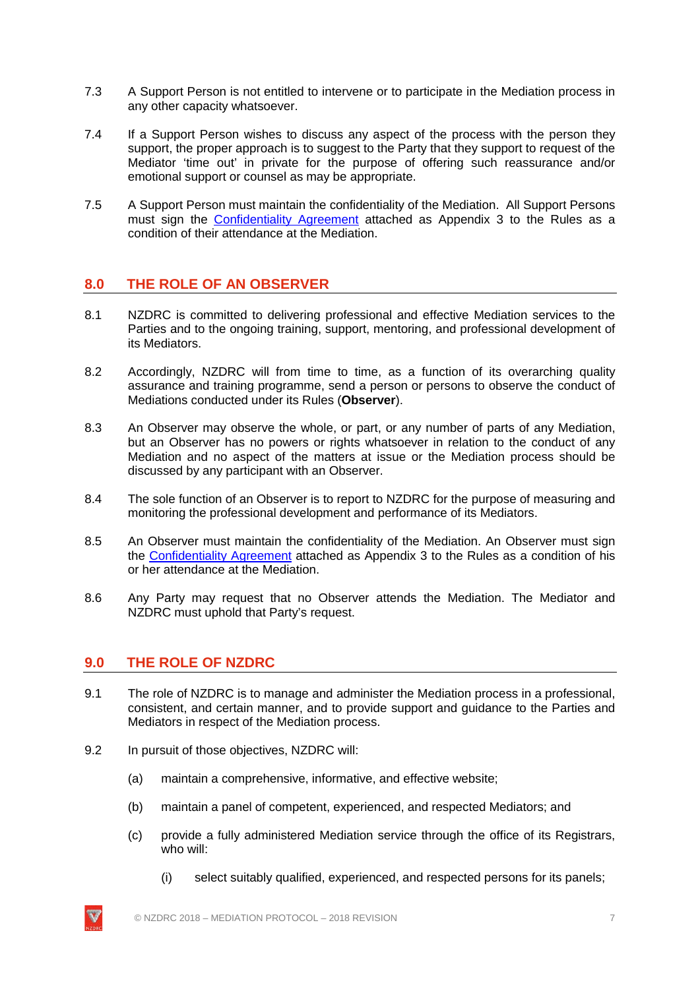- 7.3 A Support Person is not entitled to intervene or to participate in the Mediation process in any other capacity whatsoever.
- 7.4 If a Support Person wishes to discuss any aspect of the process with the person they support, the proper approach is to suggest to the Party that they support to request of the Mediator 'time out' in private for the purpose of offering such reassurance and/or emotional support or counsel as may be appropriate.
- 7.5 A Support Person must maintain the confidentiality of the Mediation. All Support Persons must sign the **[Confidentiality Agreement](http://nzdrc.co.nz/Mediation/Mediation+Guides+and+Resources.html)** attached as Appendix 3 to the Rules as a condition of their attendance at the Mediation.

### <span id="page-9-0"></span>**8.0 THE ROLE OF AN OBSERVER**

- 8.1 NZDRC is committed to delivering professional and effective Mediation services to the Parties and to the ongoing training, support, mentoring, and professional development of its Mediators.
- 8.2 Accordingly, NZDRC will from time to time, as a function of its overarching quality assurance and training programme, send a person or persons to observe the conduct of Mediations conducted under its Rules (**Observer**).
- 8.3 An Observer may observe the whole, or part, or any number of parts of any Mediation, but an Observer has no powers or rights whatsoever in relation to the conduct of any Mediation and no aspect of the matters at issue or the Mediation process should be discussed by any participant with an Observer.
- 8.4 The sole function of an Observer is to report to NZDRC for the purpose of measuring and monitoring the professional development and performance of its Mediators.
- 8.5 An Observer must maintain the confidentiality of the Mediation. An Observer must sign the [Confidentiality Agreement](http://nzdrc.co.nz/Mediation/Mediation+Guides+and+Resources.html) attached as Appendix 3 to the Rules as a condition of his or her attendance at the Mediation.
- <span id="page-9-1"></span>8.6 Any Party may request that no Observer attends the Mediation. The Mediator and NZDRC must uphold that Party's request.

#### **9.0 THE ROLE OF NZDRC**

- 9.1 The role of NZDRC is to manage and administer the Mediation process in a professional, consistent, and certain manner, and to provide support and guidance to the Parties and Mediators in respect of the Mediation process.
- 9.2 In pursuit of those objectives, NZDRC will:
	- (a) maintain a comprehensive, informative, and effective website;
	- (b) maintain a panel of competent, experienced, and respected Mediators; and
	- (c) provide a fully administered Mediation service through the office of its Registrars, who will:
		- (i) select suitably qualified, experienced, and respected persons for its panels;

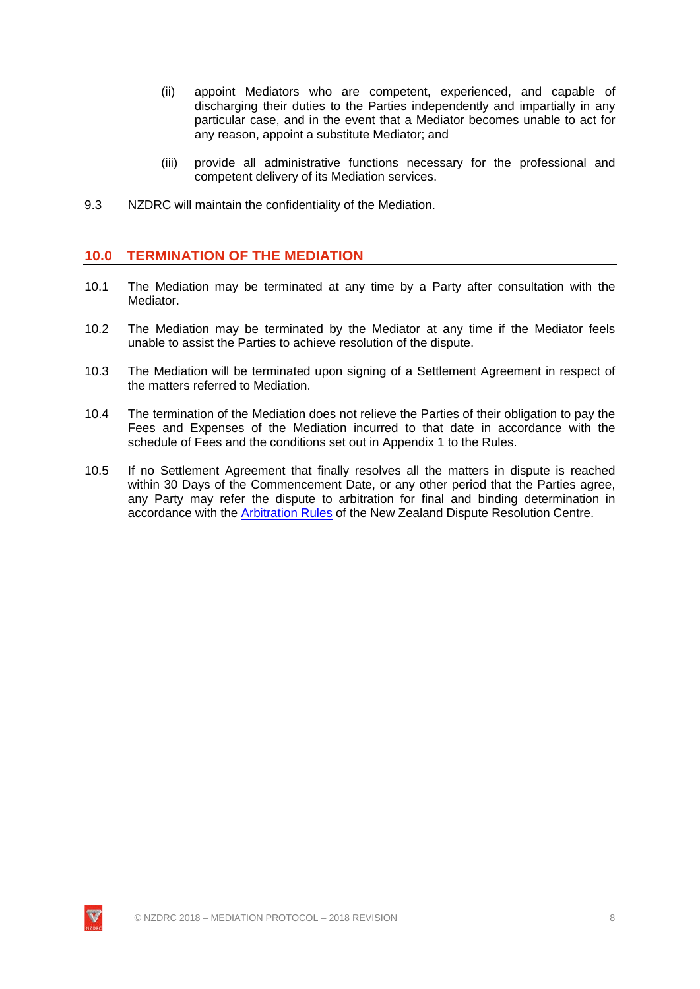- (ii) appoint Mediators who are competent, experienced, and capable of discharging their duties to the Parties independently and impartially in any particular case, and in the event that a Mediator becomes unable to act for any reason, appoint a substitute Mediator; and
- (iii) provide all administrative functions necessary for the professional and competent delivery of its Mediation services.
- <span id="page-10-0"></span>9.3 NZDRC will maintain the confidentiality of the Mediation.

#### **10.0 TERMINATION OF THE MEDIATION**

- 10.1 The Mediation may be terminated at any time by a Party after consultation with the Mediator.
- 10.2 The Mediation may be terminated by the Mediator at any time if the Mediator feels unable to assist the Parties to achieve resolution of the dispute.
- 10.3 The Mediation will be terminated upon signing of a Settlement Agreement in respect of the matters referred to Mediation.
- 10.4 The termination of the Mediation does not relieve the Parties of their obligation to pay the Fees and Expenses of the Mediation incurred to that date in accordance with the schedule of Fees and the conditions set out in Appendix 1 to the Rules.
- 10.5 If no Settlement Agreement that finally resolves all the matters in dispute is reached within 30 Days of the Commencement Date, or any other period that the Parties agree, any Party may refer the dispute to arbitration for final and binding determination in accordance with the [Arbitration Rules](http://nzdrc.co.nz/Arbitration/Arbitration+Rules.html) of the New Zealand Dispute Resolution Centre.